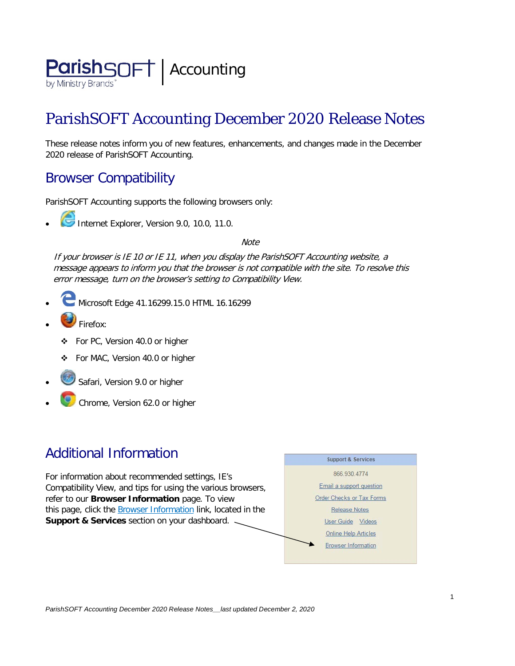

# ParishSOFT Accounting December 2020 Release Notes

These release notes inform you of new features, enhancements, and changes made in the December 2020 release of ParishSOFT Accounting.

## Browser Compatibility

ParishSOFT Accounting supports the following browsers only:

**• Internet Explorer, Version 9.0, 10.0, 11.0.** 

**Note** 

If your browser is IE 10 or IE 11, when you display the ParishSOFT Accounting website, a message appears to inform you that the browser is not compatible with the site. To resolve this error message, turn on the browser's setting to Compatibility View.

- Microsoft Edge 41.16299.15.0 HTML 16.16299
- Firefox:
	- ❖ For PC, Version 40.0 or higher
	- For MAC, Version 40.0 or higher
- Safari, Version 9.0 or higher
- Chrome, Version 62.0 or higher

## Additional Information

For information about recommended settings, IE's Compatibility View, and tips for using the various browsers, refer to our **Browser Information** page. To view this page, click the **Browser Information** link, located in the **Support & Services** section on your dashboard.

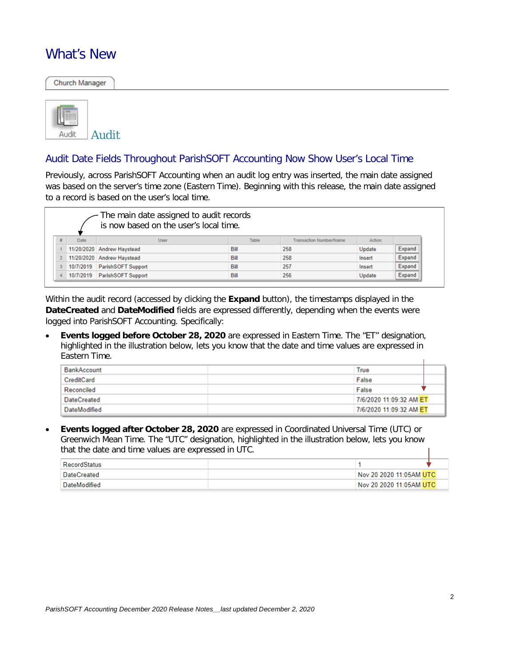### What's New

Church Manager



#### Audit Date Fields Throughout ParishSOFT Accounting Now Show User's Local Time

Previously, across ParishSOFT Accounting when an audit log entry was inserted, the main date assigned was based on the server's time zone (Eastern Time). Beginning with this release, the main date assigned to a record is based on the user's local time.

|      | The main date assigned to audit records<br>is now based on the user's local time. |       |                                |        |        |
|------|-----------------------------------------------------------------------------------|-------|--------------------------------|--------|--------|
| Date | User                                                                              | Table | <b>Transaction Number/Name</b> | Action |        |
|      | 11/20/2020 Andrew Haystead                                                        | Bill  | 258                            | Update | Expand |
|      | 11/20/2020 Andrew Haystead                                                        | Bill  | 258                            | Insert | Expand |
|      | 10/7/2019 ParishSOFT Support                                                      | Bill  | 257                            | Insert | Expand |
|      | 10/7/2019 ParishSOFT Support                                                      | Bill  | 256                            | Update | Expand |

Within the audit record (accessed by clicking the **Expand** button), the timestamps displayed in the **DateCreated** and **DateModified** fields are expressed differently, depending when the events were logged into ParishSOFT Accounting. Specifically:

• **Events logged before October 28, 2020** are expressed in Eastern Time. The "ET" designation, highlighted in the illustration below, lets you know that the date and time values are expressed in Eastern Time.

| <b>BankAccount</b> | True                    |  |
|--------------------|-------------------------|--|
| CreditCard         | False                   |  |
| Reconciled         | False                   |  |
| <b>DateCreated</b> | 7/6/2020 11:09:32 AM ET |  |
| DateModified       | 7/6/2020 11:09:32 AM ET |  |

• **Events logged after October 28, 2020** are expressed in Coordinated Universal Time (UTC) or Greenwich Mean Time. The "UTC" designation, highlighted in the illustration below, lets you know that the date and time values are expressed in UTC.

| <b>RecordStatus</b> |                         |  |
|---------------------|-------------------------|--|
| ∣ DateCreated       | Nov 20 2020 11:05AM UTC |  |
| <b>DateModified</b> | Nov 20 2020 11:05AM UTC |  |

T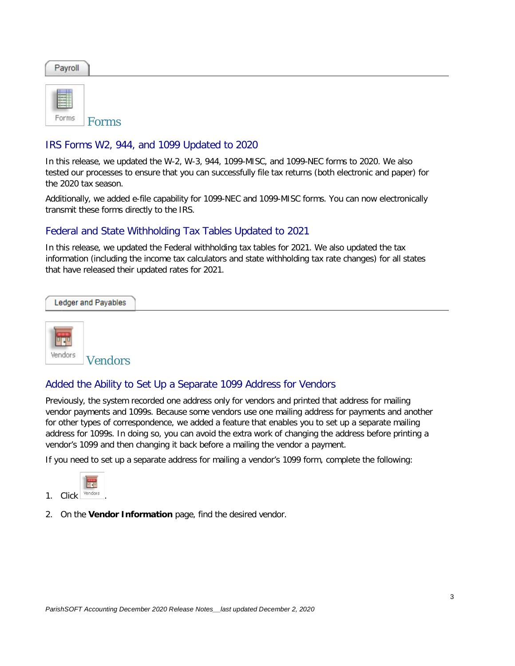| Payroll |  |  |
|---------|--|--|
|         |  |  |

Forms Forms

#### IRS Forms W2, 944, and 1099 Updated to 2020

In this release, we updated the W-2, W-3, 944, 1099-MISC, and 1099-NEC forms to 2020. We also tested our processes to ensure that you can successfully file tax returns (both electronic and paper) for the 2020 tax season.

Additionally, we added e-file capability for 1099-NEC and 1099-MISC forms. You can now electronically transmit these forms directly to the IRS.

#### Federal and State Withholding Tax Tables Updated to 2021

In this release, we updated the Federal withholding tax tables for 2021. We also updated the tax information (including the income tax calculators and state withholding tax rate changes) for all states that have released their updated rates for 2021.



#### Added the Ability to Set Up a Separate 1099 Address for Vendors

Previously, the system recorded one address only for vendors and printed that address for mailing vendor payments and 1099s. Because some vendors use one mailing address for payments and another for other types of correspondence, we added a feature that enables you to set up a separate mailing address for 1099s. In doing so, you can avoid the extra work of changing the address before printing a vendor's 1099 and then changing it back before a mailing the vendor a payment.

If you need to set up a separate address for mailing a vendor's 1099 form, complete the following:



2. On the **Vendor Information** page, find the desired vendor.